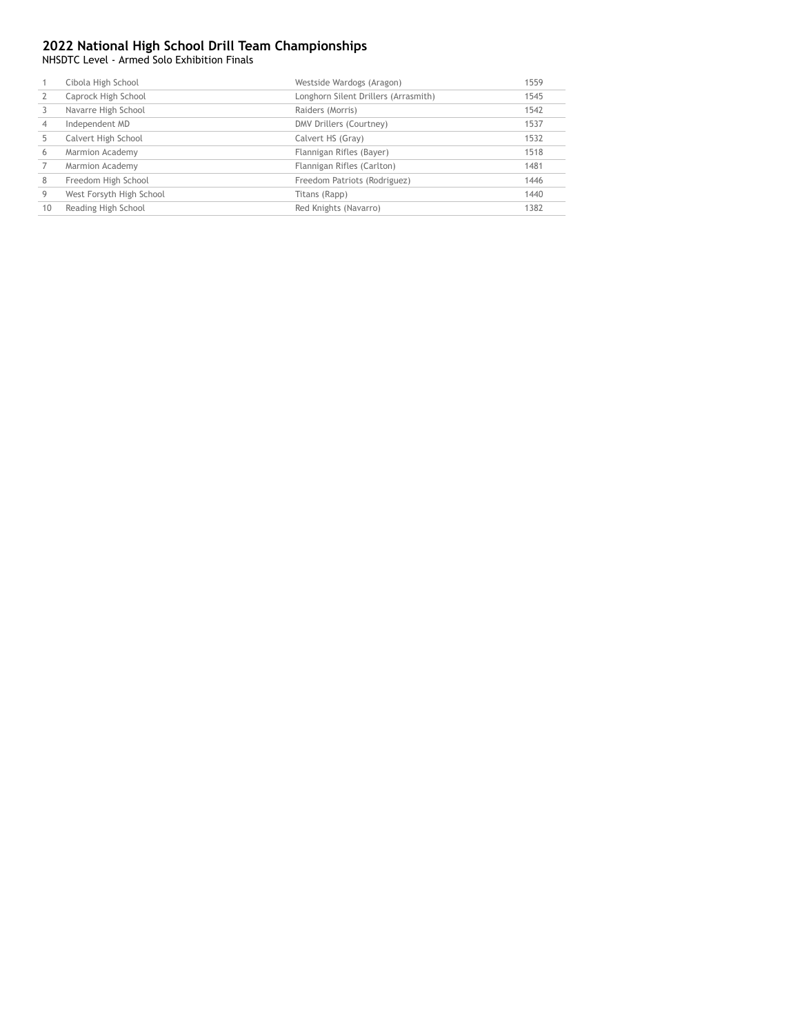NHSDTC Level - Armed Solo Exhibition Finals

|    | Cibola High School       | Westside Wardogs (Aragon)            | 1559 |
|----|--------------------------|--------------------------------------|------|
|    | Caprock High School      | Longhorn Silent Drillers (Arrasmith) | 1545 |
|    | Navarre High School      | Raiders (Morris)                     | 1542 |
|    | Independent MD           | DMV Drillers (Courtney)              | 1537 |
|    | Calvert High School      | Calvert HS (Gray)                    | 1532 |
| 6  | Marmion Academy          | Flannigan Rifles (Bayer)             | 1518 |
|    | Marmion Academy          | Flannigan Rifles (Carlton)           | 1481 |
| 8  | Freedom High School      | Freedom Patriots (Rodriguez)         | 1446 |
| 9  | West Forsyth High School | Titans (Rapp)                        | 1440 |
| 10 | Reading High School      | Red Knights (Navarro)                | 1382 |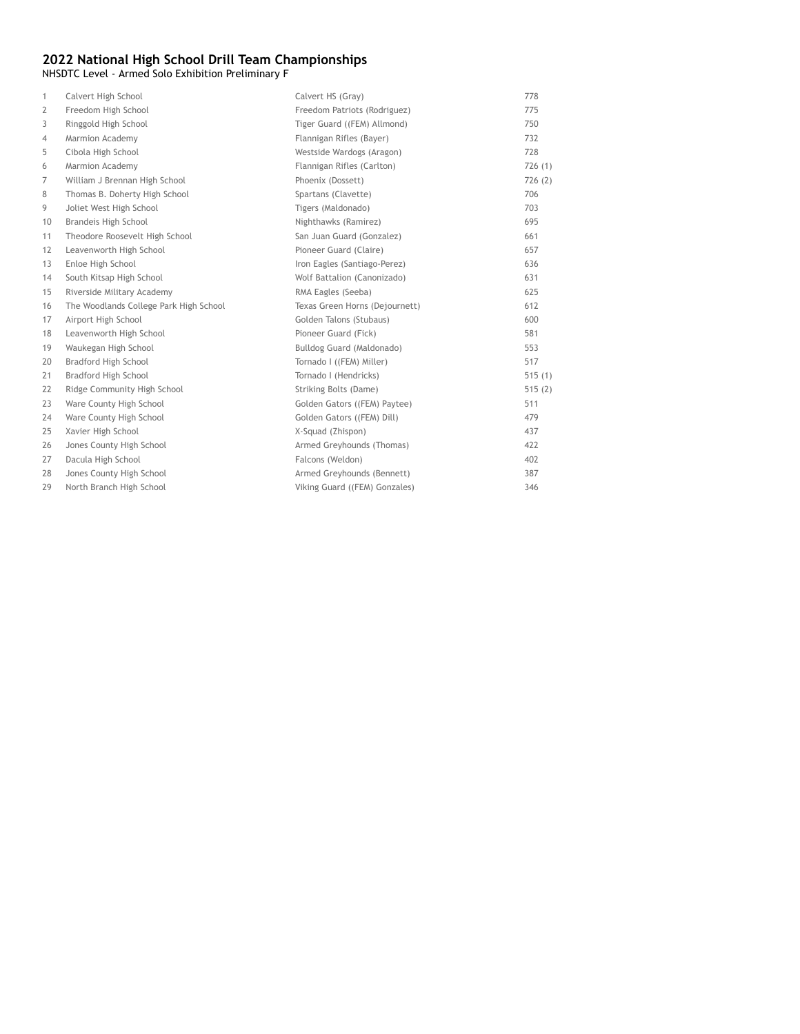NHSDTC Level - Armed Solo Exhibition Preliminary F

| $\mathbf{1}$ | Calvert High School                    | Calvert HS (Gray)              | 778    |
|--------------|----------------------------------------|--------------------------------|--------|
| 2            | Freedom High School                    | Freedom Patriots (Rodriguez)   | 775    |
| 3            | Ringgold High School                   | Tiger Guard ((FEM) Allmond)    | 750    |
| 4            | Marmion Academy                        | Flannigan Rifles (Bayer)       | 732    |
| 5            | Cibola High School                     | Westside Wardogs (Aragon)      | 728    |
| 6            | Marmion Academy                        | Flannigan Rifles (Carlton)     | 726(1) |
| 7            | William J Brennan High School          | Phoenix (Dossett)              | 726(2) |
| 8            | Thomas B. Doherty High School          | Spartans (Clavette)            | 706    |
| 9            | Joliet West High School                | Tigers (Maldonado)             | 703    |
| 10           | Brandeis High School                   | Nighthawks (Ramirez)           | 695    |
| 11           | Theodore Roosevelt High School         | San Juan Guard (Gonzalez)      | 661    |
| 12           | Leavenworth High School                | Pioneer Guard (Claire)         | 657    |
| 13           | Enloe High School                      | Iron Eagles (Santiago-Perez)   | 636    |
| 14           | South Kitsap High School               | Wolf Battalion (Canonizado)    | 631    |
| 15           | Riverside Military Academy             | RMA Eagles (Seeba)             | 625    |
| 16           | The Woodlands College Park High School | Texas Green Horns (Dejournett) | 612    |
| 17           | Airport High School                    | Golden Talons (Stubaus)        | 600    |
| 18           | Leavenworth High School                | Pioneer Guard (Fick)           | 581    |
| 19           | Waukegan High School                   | Bulldog Guard (Maldonado)      | 553    |
| 20           | Bradford High School                   | Tornado I ((FEM) Miller)       | 517    |
| 21           | Bradford High School                   | Tornado I (Hendricks)          | 515(1) |
| 22           | Ridge Community High School            | Striking Bolts (Dame)          | 515(2) |
| 23           | Ware County High School                | Golden Gators ((FEM) Paytee)   | 511    |
| 24           | Ware County High School                | Golden Gators ((FEM) Dill)     | 479    |
| 25           | Xavier High School                     | X-Squad (Zhispon)              | 437    |
| 26           | Jones County High School               | Armed Greyhounds (Thomas)      | 422    |
| 27           | Dacula High School                     | Falcons (Weldon)               | 402    |
| 28           | Jones County High School               | Armed Greyhounds (Bennett)     | 387    |
| 29           | North Branch High School               | Viking Guard ((FEM) Gonzales)  | 346    |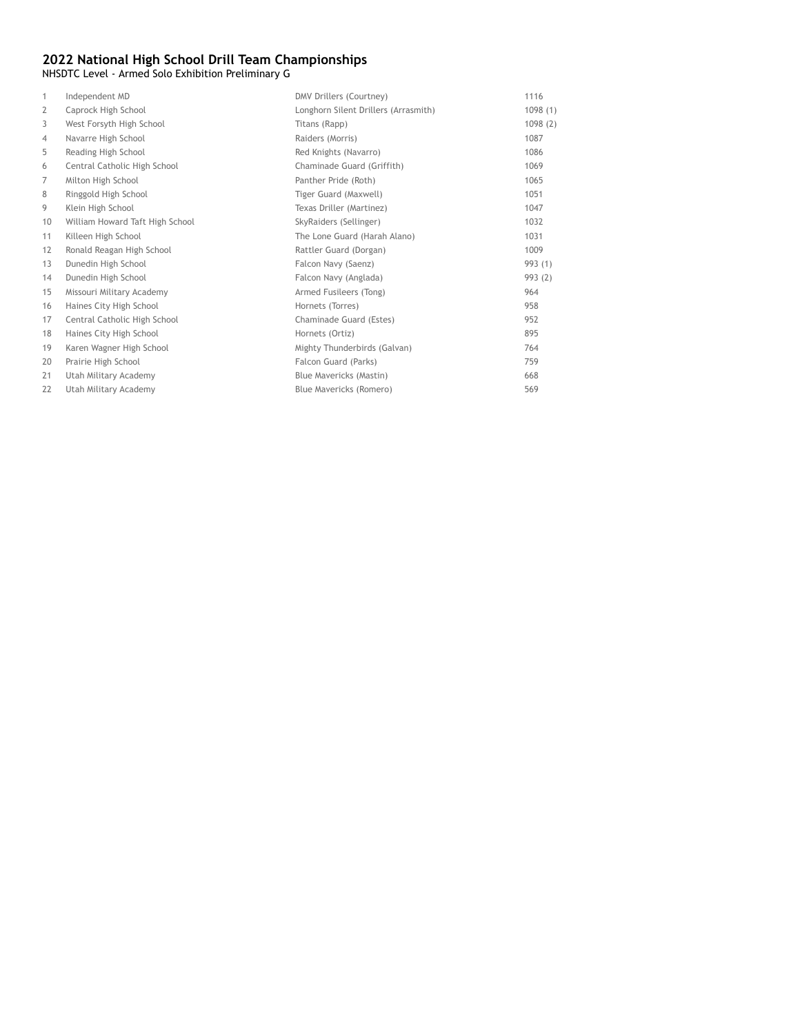NHSDTC Level - Armed Solo Exhibition Preliminary G

| 1              | Independent MD                  | DMV Drillers (Courtney)              | 1116    |
|----------------|---------------------------------|--------------------------------------|---------|
| $\overline{2}$ | Caprock High School             | Longhorn Silent Drillers (Arrasmith) | 1098(1) |
| 3              | West Forsyth High School        | Titans (Rapp)                        | 1098(2) |
| 4              | Navarre High School             | Raiders (Morris)                     | 1087    |
| 5              | Reading High School             | Red Knights (Navarro)                | 1086    |
| 6              | Central Catholic High School    | Chaminade Guard (Griffith)           | 1069    |
| 7              | Milton High School              | Panther Pride (Roth)                 | 1065    |
| 8              | Ringgold High School            | Tiger Guard (Maxwell)                | 1051    |
| 9              | Klein High School               | Texas Driller (Martinez)             | 1047    |
| 10             | William Howard Taft High School | SkyRaiders (Sellinger)               | 1032    |
| 11             | Killeen High School             | The Lone Guard (Harah Alano)         | 1031    |
| 12             | Ronald Reagan High School       | Rattler Guard (Dorgan)               | 1009    |
| 13             | Dunedin High School             | Falcon Navy (Saenz)                  | 993 (1) |
| 14             | Dunedin High School             | Falcon Navy (Anglada)                | 993 (2) |
| 15             | Missouri Military Academy       | Armed Fusileers (Tong)               | 964     |
| 16             | Haines City High School         | Hornets (Torres)                     | 958     |
| 17             | Central Catholic High School    | Chaminade Guard (Estes)              | 952     |
| 18             | Haines City High School         | Hornets (Ortiz)                      | 895     |
| 19             | Karen Wagner High School        | Mighty Thunderbirds (Galvan)         | 764     |
| 20             | Prairie High School             | Falcon Guard (Parks)                 | 759     |
| 21             | Utah Military Academy           | Blue Mavericks (Mastin)              | 668     |
| 22             | Utah Military Academy           | Blue Mavericks (Romero)              | 569     |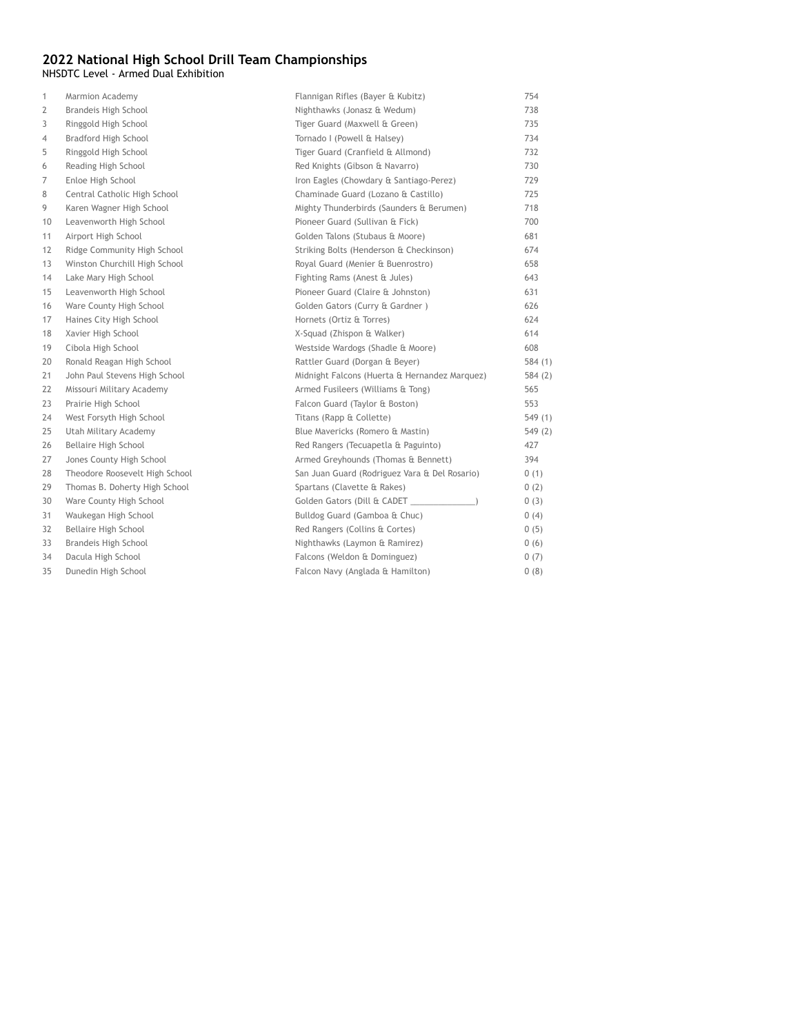NHSDTC Level - Armed Dual Exhibition

| $\mathbf{1}$   | Marmion Academy                | Flannigan Rifles (Bayer & Kubitz)             | 754    |
|----------------|--------------------------------|-----------------------------------------------|--------|
| $\overline{2}$ | Brandeis High School           | Nighthawks (Jonasz & Wedum)                   | 738    |
| 3              | Ringgold High School           | Tiger Guard (Maxwell & Green)                 | 735    |
| 4              | Bradford High School           | Tornado I (Powell & Halsey)                   | 734    |
| 5              | Ringgold High School           | Tiger Guard (Cranfield & Allmond)             | 732    |
| 6              | Reading High School            | Red Knights (Gibson & Navarro)                | 730    |
| 7              | Enloe High School              | Iron Eagles (Chowdary & Santiago-Perez)       | 729    |
| 8              | Central Catholic High School   | Chaminade Guard (Lozano & Castillo)           | 725    |
| 9              | Karen Wagner High School       | Mighty Thunderbirds (Saunders & Berumen)      | 718    |
| 10             | Leavenworth High School        | Pioneer Guard (Sullivan & Fick)               | 700    |
| 11             | Airport High School            | Golden Talons (Stubaus & Moore)               | 681    |
| 12             | Ridge Community High School    | Striking Bolts (Henderson & Checkinson)       | 674    |
| 13             | Winston Churchill High School  | Royal Guard (Menier & Buenrostro)             | 658    |
| 14             | Lake Mary High School          | Fighting Rams (Anest & Jules)                 | 643    |
| 15             | Leavenworth High School        | Pioneer Guard (Claire & Johnston)             | 631    |
| 16             | Ware County High School        | Golden Gators (Curry & Gardner)               | 626    |
| 17             | Haines City High School        | Hornets (Ortiz & Torres)                      | 624    |
| 18             | Xavier High School             | X-Squad (Zhispon & Walker)                    | 614    |
| 19             | Cibola High School             | Westside Wardogs (Shadle & Moore)             | 608    |
| 20             | Ronald Reagan High School      | Rattler Guard (Dorgan & Beyer)                | 584(1) |
| 21             | John Paul Stevens High School  | Midnight Falcons (Huerta & Hernandez Marquez) | 584(2) |
| 22             | Missouri Military Academy      | Armed Fusileers (Williams & Tong)             | 565    |
| 23             | Prairie High School            | Falcon Guard (Taylor & Boston)                | 553    |
| 24             | West Forsyth High School       | Titans (Rapp & Collette)                      | 549(1) |
| 25             | Utah Military Academy          | Blue Mavericks (Romero & Mastin)              | 549(2) |
| 26             | Bellaire High School           | Red Rangers (Tecuapetla & Paguinto)           | 427    |
| 27             | Jones County High School       | Armed Greyhounds (Thomas & Bennett)           | 394    |
| 28             | Theodore Roosevelt High School | San Juan Guard (Rodriguez Vara & Del Rosario) | 0(1)   |
| 29             | Thomas B. Doherty High School  | Spartans (Clavette & Rakes)                   | 0(2)   |
| 30             | Ware County High School        |                                               | 0(3)   |
| 31             | Waukegan High School           | Bulldog Guard (Gamboa & Chuc)                 | 0(4)   |
| 32             | Bellaire High School           | Red Rangers (Collins & Cortes)                | 0(5)   |
| 33             | Brandeis High School           | Nighthawks (Laymon & Ramirez)                 | 0(6)   |
| 34             | Dacula High School             | Falcons (Weldon & Dominguez)                  | 0(7)   |
| 35             | Dunedin High School            | Falcon Navy (Anglada & Hamilton)              | 0(8)   |
|                |                                |                                               |        |